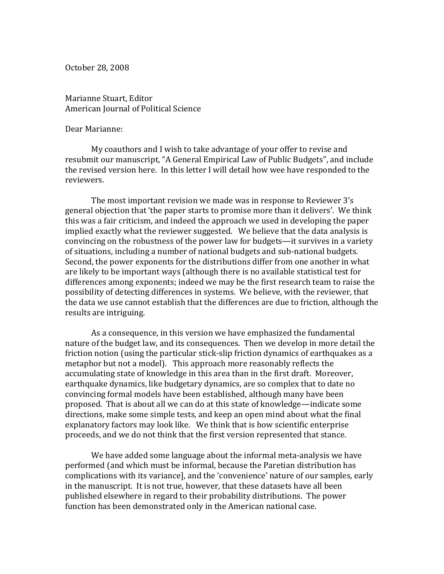October 28, 2008

Marianne Stuart, Editor American Journal of Political Science

## Dear Marianne:

My coauthors and I wish to take advantage of your offer to revise and resubmit our manuscript, "A General Empirical Law of Public Budgets", and include the revised version here. In this letter I will detail how wee have responded to the reviewers.

The most important revision we made was in response to Reviewer 3's general objection that 'the paper starts to promise more than it delivers'. We think this was a fair criticism, and indeed the approach we used in developing the paper implied exactly what the reviewer suggested. We believe that the data analysis is convincing on the robustness of the power law for budgets—it survives in a variety of situations, including a number of national budgets and sub-national budgets. Second, the power exponents for the distributions differ from one another in what are likely to be important ways (although there is no available statistical test for differences among exponents; indeed we may be the first research team to raise the possibility of detecting differences in systems. We believe, with the reviewer, that the data we use cannot establish that the differences are due to friction, although the results are intriguing.

As a consequence, in this version we have emphasized the fundamental nature of the budget law, and its consequences. Then we develop in more detail the friction notion (using the particular stick-slip friction dynamics of earthquakes as a metaphor but not a model). This approach more reasonably reflects the accumulating state of knowledge in this area than in the first draft. Moreover, earthquake dynamics, like budgetary dynamics, are so complex that to date no convincing formal models have been established, although many have been proposed. That is about all we can do at this state of knowledge—indicate some directions, make some simple tests, and keep an open mind about what the final explanatory factors may look like. We think that is how scientific enterprise proceeds, and we do not think that the first version represented that stance.

We have added some language about the informal meta-analysis we have performed (and which must be informal, because the Paretian distribution has complications with its variance], and the 'convenience' nature of our samples, early in the manuscript. It is not true, however, that these datasets have all been published elsewhere in regard to their probability distributions. The power function has been demonstrated only in the American national case.